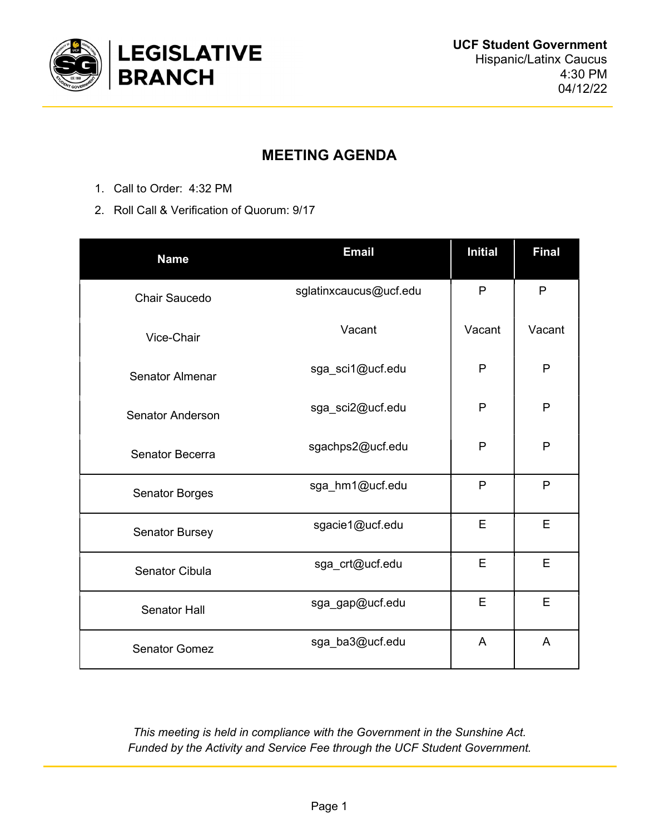

## MEETING AGENDA

- 1. Call to Order: 4:32 PM
- 2. Roll Call & Verification of Quorum: 9/17

| <b>Name</b>             | <b>Email</b>           | <b>Initial</b> | <b>Final</b> |
|-------------------------|------------------------|----------------|--------------|
| <b>Chair Saucedo</b>    | sglatinxcaucus@ucf.edu | P              | P            |
| Vice-Chair              | Vacant                 | Vacant         | Vacant       |
| <b>Senator Almenar</b>  | sga_sci1@ucf.edu       | P              | P            |
| <b>Senator Anderson</b> | sga_sci2@ucf.edu       | P              | P            |
| Senator Becerra         | sgachps2@ucf.edu       | P              | P            |
| <b>Senator Borges</b>   | sga_hm1@ucf.edu        | P              | P            |
| <b>Senator Bursey</b>   | sgacie1@ucf.edu        | E              | E            |
| <b>Senator Cibula</b>   | sga_crt@ucf.edu        | E              | E            |
| <b>Senator Hall</b>     | sga_gap@ucf.edu        | E              | E            |
| <b>Senator Gomez</b>    | sga_ba3@ucf.edu        | A              | A            |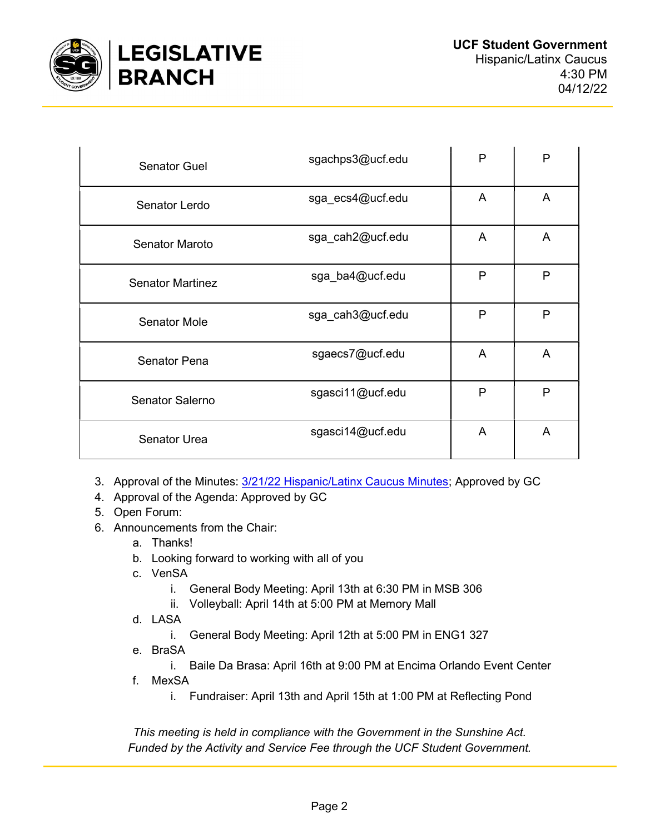

| <b>Senator Guel</b>     | sgachps3@ucf.edu | P | P              |
|-------------------------|------------------|---|----------------|
| Senator Lerdo           | sga ecs4@ucf.edu | A | A              |
| <b>Senator Maroto</b>   | sga_cah2@ucf.edu | A | A              |
| <b>Senator Martinez</b> | sga_ba4@ucf.edu  | P | P              |
| <b>Senator Mole</b>     | sga cah3@ucf.edu | P | P              |
| <b>Senator Pena</b>     | sgaecs7@ucf.edu  | A | A              |
| Senator Salerno         | sgasci11@ucf.edu | P | P              |
| <b>Senator Urea</b>     | sgasci14@ucf.edu | A | $\overline{A}$ |

- 3. Approval of the Minutes: 3/21/22 Hispanic/Latinx Caucus Minutes; Approved by GC
- 4. Approval of the Agenda: Approved by GC
- 5. Open Forum:
- 6. Announcements from the Chair:
	- a. Thanks!
	- b. Looking forward to working with all of you
	- c. VenSA
		- i. General Body Meeting: April 13th at 6:30 PM in MSB 306
		- ii. Volleyball: April 14th at 5:00 PM at Memory Mall
	- d. LASA
		- i. General Body Meeting: April 12th at 5:00 PM in ENG1 327
	- e. BraSA
		- i. Baile Da Brasa: April 16th at 9:00 PM at Encima Orlando Event Center
	- f. MexSA
		- i. Fundraiser: April 13th and April 15th at 1:00 PM at Reflecting Pond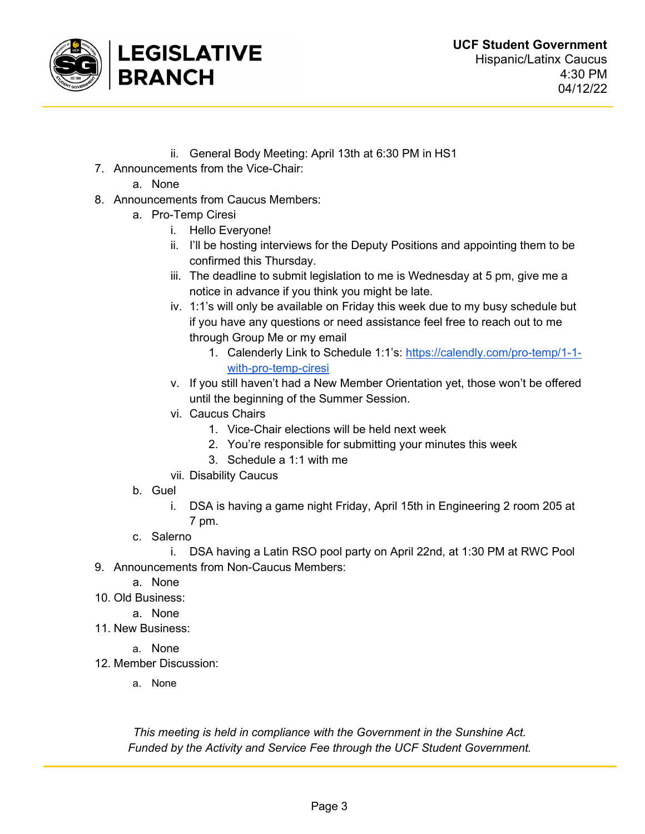

- ii. General Body Meeting: April 13th at 6:30 PM in HS1
- 7. Announcements from the Vice-Chair:
	- a. None
- 8. Announcements from Caucus Members:
	- a. Pro-Temp Ciresi
		- i. Hello Everyone!
		- ii. I'll be hosting interviews for the Deputy Positions and appointing them to be confirmed this Thursday.
		- iii. The deadline to submit legislation to me is Wednesday at 5 pm, give me a notice in advance if you think you might be late.
		- iv. 1:1's will only be available on Friday this week due to my busy schedule but if you have any questions or need assistance feel free to reach out to me through Group Me or my email
			- 1. Calenderly Link to Schedule 1:1's: https://calendly.com/pro-temp/1-1 with-pro-temp-ciresi
		- v. If you still haven't had a New Member Orientation yet, those won't be offered until the beginning of the Summer Session.
		- vi. Caucus Chairs
			- 1. Vice-Chair elections will be held next week
			- 2. You're responsible for submitting your minutes this week
			- 3. Schedule a 1:1 with me
		- vii. Disability Caucus
	- b. Guel
		- i. DSA is having a game night Friday, April 15th in Engineering 2 room 205 at 7 pm.
	- c. Salerno
- i. DSA having a Latin RSO pool party on April 22nd, at 1:30 PM at RWC Pool 9. Announcements from Non-Caucus Members:
	- a. None
- 10. Old Business:
	- a. None
- 11. New Business:
	- a. None
- 12. Member Discussion:
	- a. None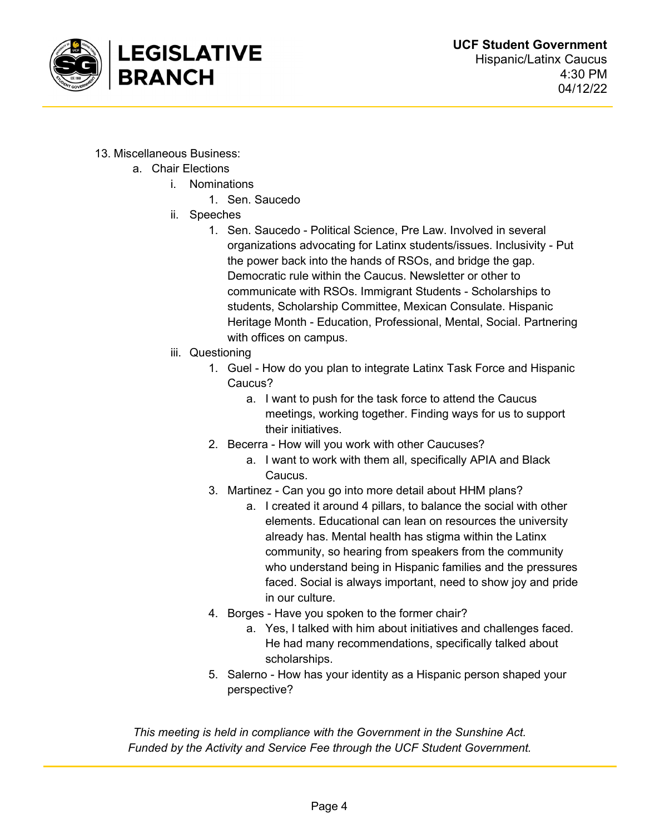

- 13. Miscellaneous Business:
	- a. Chair Elections
		- i. Nominations
			- 1. Sen. Saucedo
		- ii. Speeches
			- 1. Sen. Saucedo Political Science, Pre Law. Involved in several organizations advocating for Latinx students/issues. Inclusivity - Put the power back into the hands of RSOs, and bridge the gap. Democratic rule within the Caucus. Newsletter or other to communicate with RSOs. Immigrant Students - Scholarships to students, Scholarship Committee, Mexican Consulate. Hispanic Heritage Month - Education, Professional, Mental, Social. Partnering with offices on campus.
		- iii. Questioning
			- 1. Guel How do you plan to integrate Latinx Task Force and Hispanic Caucus?
				- a. I want to push for the task force to attend the Caucus meetings, working together. Finding ways for us to support their initiatives.
			- 2. Becerra How will you work with other Caucuses?
				- a. I want to work with them all, specifically APIA and Black Caucus.
			- 3. Martinez Can you go into more detail about HHM plans?
				- a. I created it around 4 pillars, to balance the social with other elements. Educational can lean on resources the university already has. Mental health has stigma within the Latinx community, so hearing from speakers from the community who understand being in Hispanic families and the pressures faced. Social is always important, need to show joy and pride in our culture.
			- 4. Borges Have you spoken to the former chair?
				- a. Yes, I talked with him about initiatives and challenges faced. He had many recommendations, specifically talked about scholarships.
			- 5. Salerno How has your identity as a Hispanic person shaped your perspective?